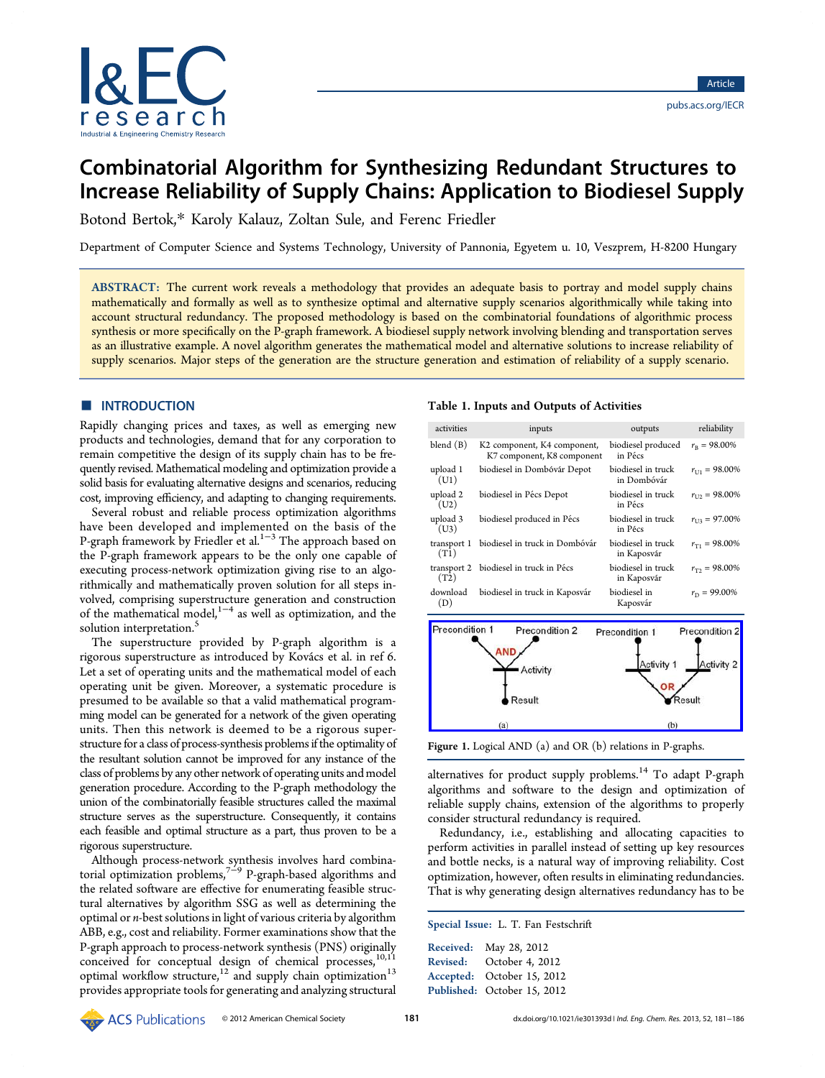<span id="page-0-0"></span>

# Combinatorial Algorithm for Synthesizing Redundant Structures to Increase Reliability of Supply Chains: Application to Biodiesel Supply

Botond Bertok,\* Karoly Kalauz, Zoltan Sule, and Ferenc Friedler

Department of Co[mp](#page-5-0)uter Science and Systems Technology, University of Pannonia, Egyetem u. 10, Veszprem, H-8200 Hungary

ABSTRACT: The current work reveals a methodology that provides an adequate basis to portray and model supply chains mathematically and formally as well as to synthesize optimal and alternative supply scenarios algorithmically while taking into account structural redundancy. The proposed methodology is based on the combinatorial foundations of algorithmic process synthesis or more specifically on the P-graph framework. A biodiesel supply network involving blending and transportation serves as an illustrative example. A novel algorithm generates the mathematical model and alternative solutions to increase reliability of supply scenarios. Major steps of the generation are the structure generation and estimation of reliability of a supply scenario.

# ■ INTRODUCTION

Rapidly changing prices and taxes, as well as emerging new products and technologies, demand that for any corporation to remain competitive the design of its supply chain has to be frequently revised. Mathematical modeling and optimization provide a solid basis for evaluating alternative designs and scenarios, reducing cost, improving efficiency, and adapting to changing requirements.

Several robust and reliable process optimization algorithms have been developed and implemented on the basis of the P-graph framework by Friedler et al.<sup>1−3</sup> The approach based on the P-graph framework appears to be the only one capable of executing process-network optimiz[ation](#page-5-0) giving rise to an algorithmically and mathematically proven solution for all steps involved, comprising superstructure generation and construction of the mathematical model, $1^{-4}$  as well as optimization, and the solution interpretation.<sup>5</sup>

The superstructure pro[v](#page-5-0)i[de](#page-5-0)d by P-graph algorithm is a rigorous sup[e](#page-5-0)rstructure as introduced by Kovács et al. in ref 6. Let a set of operating units and the mathematical model of each operating unit be given. Moreover, a systematic procedure [is](#page-5-0) presumed to be available so that a valid mathematical programming model can be generated for a network of the given operating units. Then this network is deemed to be a rigorous superstructure for a class of process-synthesis problems if the optimality of the resultant solution cannot be improved for any instance of the class of problems by any other network of operating units and model generation procedure. According to the P-graph methodology the union of the combinatorially feasible structures called the maximal structure serves as the superstructure. Consequently, it contains each feasible and optimal structure as a part, thus proven to be a rigorous superstructure.

Although process-network synthesis involves hard combinatorial optimization problems,<sup>7→9</sup> P-graph-based algorithms and the related software are effective for enumerating feasible structural alternatives by algorith[m SS](#page-5-0)G as well as determining the optimal or n-best solutions in light of various criteria by algorithm ABB, e.g., cost and reliability. Former examinations show that the P-graph approach to process-network synthesis (PNS) originally conceived for conceptual design of chemical processes,<sup>10,11</sup> optimal workflow structure,<sup>12</sup> and supply chain optimization<sup>13</sup> provides appropriate tools for generating and analyzing struc[tural](#page-5-0)

#### Table 1. Inputs and Outputs of Activities

| activities          | inputs                                                    | outputs                           | reliability                |
|---------------------|-----------------------------------------------------------|-----------------------------------|----------------------------|
| $blend$ (B)         | K2 component, K4 component,<br>K7 component, K8 component | biodiesel produced<br>in Pécs     | $r_{\rm B} = 98.00\%$      |
| upload 1<br>(U1)    | biodiesel in Dombóvár Depot                               | biodiesel in truck<br>in Dombóvár | $r_{\text{III}}$ = 98.00%  |
| upload 2<br>(U2)    | biodiesel in Pécs Depot                                   | biodiesel in truck<br>in Pécs     | $r_{112} = 98.00\%$        |
| upload 3<br>(U3)    | biodiesel produced in Pécs                                | biodiesel in truck<br>in Pécs     | $r_{\text{II2}} = 97.00\%$ |
| transport 1<br>(T1) | biodiesel in truck in Dombóvár                            | biodiesel in truck<br>in Kaposvár | $r_{\text{t}} = 98.00\%$   |
| (T2)                | transport 2 biodiesel in truck in Pécs                    | biodiesel in truck<br>in Kaposvár | $r_{\rm T2} = 98.00\%$     |
| download<br>(D)     | biodiesel in truck in Kaposvár                            | biodiesel in<br>Kaposvár          | $r_{\rm D} = 99.00\%$      |



Figure 1. [Logical AND \(a\) and OR \(b\) relations in P-graphs.](http://pubs.acs.org/action/showImage?doi=10.1021/ie301393d&iName=master.img-000.jpg&w=232&h=79)

alternatives for product supply problems.<sup>14</sup> To adapt P-graph algorithms and software to the design and optimization of reliable supply chains, extension of the a[lgo](#page-5-0)rithms to properly consider structural redundancy is required.

Redundancy, i.e., establishing and allocating capacities to perform activities in parallel instead of setting up key resources and bottle necks, is a natural way of improving reliability. Cost optimization, however, often results in eliminating redundancies. That is why generating design alternatives redundancy has to be

Special Issue: L. T. Fan Festschrift

|                 | Received: May 28, 2012      |
|-----------------|-----------------------------|
| <b>Revised:</b> | October 4, 2012             |
|                 | Accepted: October 15, 2012  |
|                 | Published: October 15, 2012 |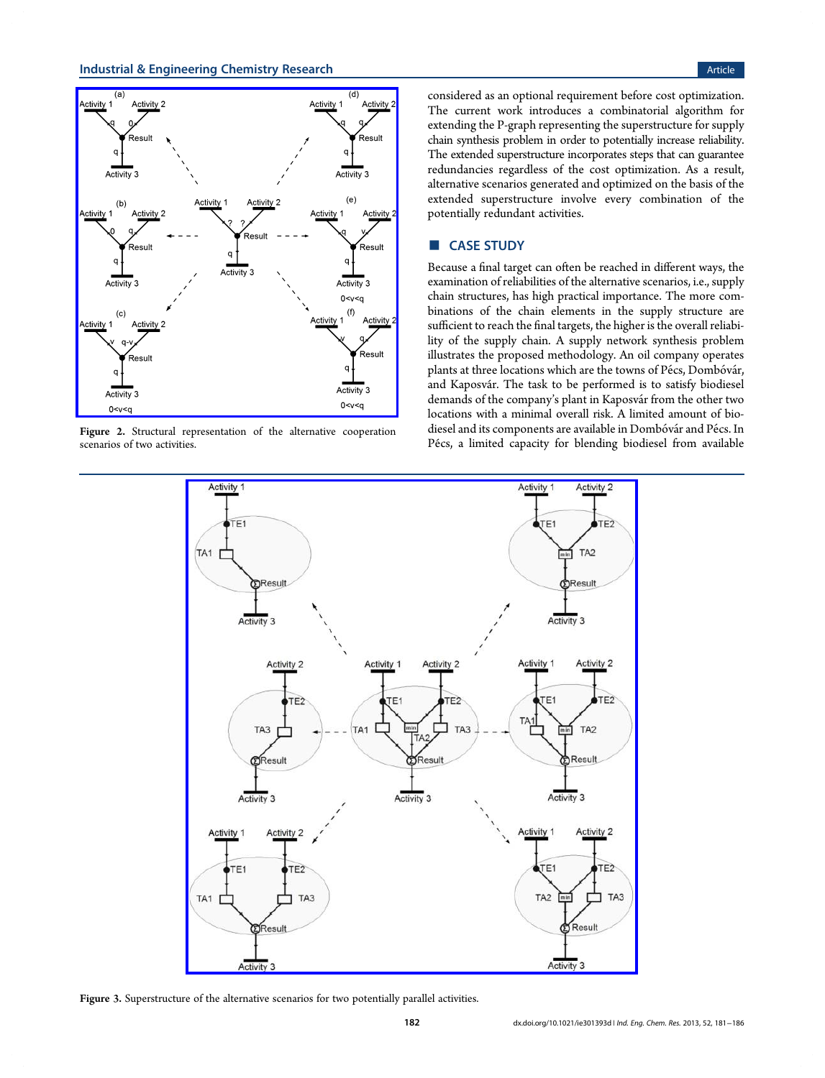<span id="page-1-0"></span>

scenarios of two activities.

considered as an optional requirement before cost optimization. The current work introduces a combinatorial algorithm for extending the P-graph representing the superstructure for supply chain synthesis problem in order to potentially increase reliability. The extended superstructure incorporates steps that can guarantee redundancies regardless of the cost optimization. As a result, alternative scenarios generated and optimized on the basis of the extended superstructure involve every combination of the potentially redundant activities.

#### ■ CASE STUDY

Because a final target can often be reached in different ways, the examination of reliabilities of the alternative scenarios, i.e., supply chain structures, has high practical importance. The more combinations of the chain elements in the supply structure are sufficient to reach the final targets, the higher is the overall reliability of the supply chain. A supply network synthesis problem illustrates the proposed methodology. An oil company operates plants at three locations which are the towns of Pécs, Dombóvár, and Kaposvár. The task to be performed is to satisfy biodiesel demands of the company's plant in Kaposvár from the other two locations with a minimal overall risk. A limited amount of biodiesel and its components are available in Dombóvár and Pécs. In Figure 2. [Structural representation of the alternative cooperation](http://pubs.acs.org/action/showImage?doi=10.1021/ie301393d&iName=master.img-001.png&w=239&h=245) diesel and its components are available in Dombóvár and Pécs. In scenarios of two activities.



Figure 3. Superstructur[e of the alternative scenarios for two potentially parallel activities.](http://pubs.acs.org/action/showImage?doi=10.1021/ie301393d&iName=master.img-002.jpg&w=337&h=370)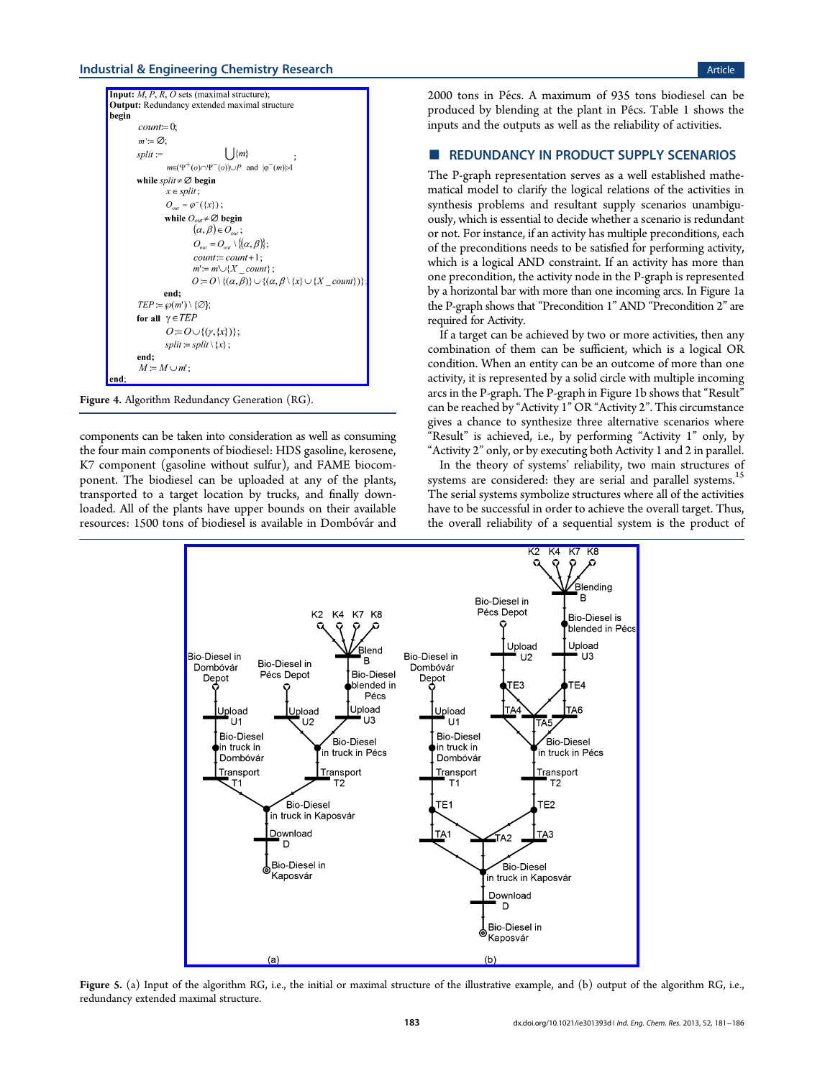#### <span id="page-2-0"></span>Industrial & Engineering Chemistry Research Article



Figure 4. [Algorithm Redundancy Generation \(RG\).](http://pubs.acs.org/action/showImage?doi=10.1021/ie301393d&iName=master.img-003.png&w=193&h=221)

components can be taken into consideration as well as consuming the four main components of biodiesel: HDS gasoline, kerosene, K7 component (gasoline without sulfur), and FAME biocomponent. The biodiesel can be uploaded at any of the plants, transported to a target location by trucks, and finally downloaded. All of the plants have upper bounds on their available resources: 1500 tons of biodiesel is available in Dombóvár and

2000 tons in Pécs. A maximum of 935 tons biodiesel can be produced by blending at the plant in Pécs. Table 1 shows the inputs and the outputs as well as the reliability of activities.

# **B** REDUNDANCY IN PRODUCT SUPPLY S[CE](#page-0-0)NARIOS

The P-graph representation serves as a well established mathematical model to clarify the logical relations of the activities in synthesis problems and resultant supply scenarios unambiguously, which is essential to decide whether a scenario is redundant or not. For instance, if an activity has multiple preconditions, each of the preconditions needs to be satisfied for performing activity, which is a logical AND constraint. If an activity has more than one precondition, the activity node in the P-graph is represented by a horizontal bar with more than one incoming arcs. In Figure 1a the P-graph shows that "Precondition 1" AND "Precondition 2" are required for Activity.

If a target can be achieved by two or more activities, then a[ny](#page-0-0) combination of them can be sufficient, which is a logical OR condition. When an entity can be an outcome of more than one activity, it is represented by a solid circle with multiple incoming arcs in the P-graph. The P-graph in Figure 1b shows that "Result" can be reached by "Activity 1" OR "Activity 2". This circumstance gives a chance to synthesize three alter[na](#page-0-0)tive scenarios where "Result" is achieved, i.e., by performing "Activity 1" only, by "Activity 2" only, or by executing both Activity 1 and 2 in parallel.

In the theory of systems' reliability, two main structures of systems are considered: they are serial and parallel systems.<sup>15</sup> The serial systems symbolize structures where all of the activities have to be successful in order to achieve the overall target. Th[us,](#page-5-0) the overall reliability of a sequential system is the product of



Figure 5. (a) Input of [the algorithm RG, i.e., the initial or maximal structure of the illustrative example, and \(b\) output o](http://pubs.acs.org/action/showImage?doi=10.1021/ie301393d&iName=master.img-004.png&w=339&h=315)f the algorithm RG, i.e., redundancy extended maximal structure.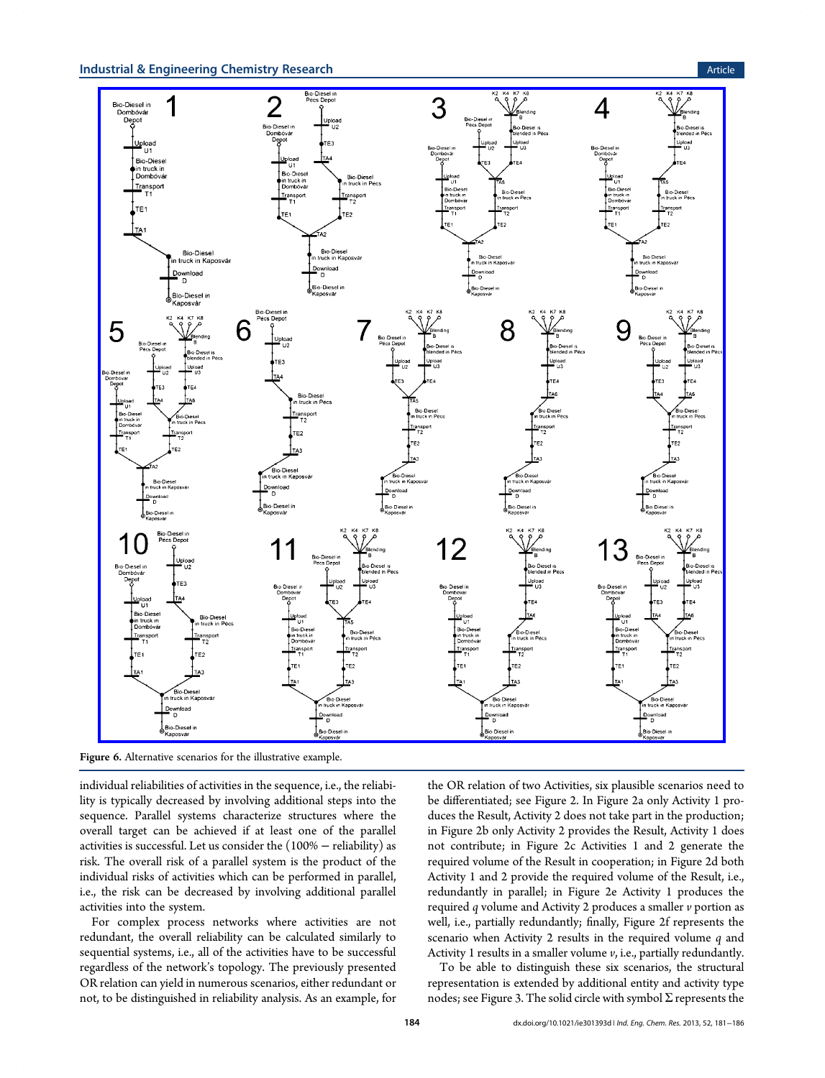<span id="page-3-0"></span>

Figure 6. [Alternative scenarios for the illustrative example.](http://pubs.acs.org/action/showImage?doi=10.1021/ie301393d&iName=master.img-005.png&w=470&h=492)

individual reliabilities of activities in the sequence, i.e., the reliability is typically decreased by involving additional steps into the sequence. Parallel systems characterize structures where the overall target can be achieved if at least one of the parallel activities is successful. Let us consider the (100% − reliability) as risk. The overall risk of a parallel system is the product of the individual risks of activities which can be performed in parallel, i.e., the risk can be decreased by involving additional parallel activities into the system.

For complex process networks where activities are not redundant, the overall reliability can be calculated similarly to sequential systems, i.e., all of the activities have to be successful regardless of the network's topology. The previously presented OR relation can yield in numerous scenarios, either redundant or not, to be distinguished in reliability analysis. As an example, for the OR relation of two Activities, six plausible scenarios need to be differentiated; see Figure 2. In Figure 2a only Activity 1 produces the Result, Activity 2 does not take part in the production; in Figure 2b only Activity 2 [pr](#page-1-0)ovides the [R](#page-1-0)esult, Activity 1 does not contribute; in Figure 2c Activities 1 and 2 generate the required [vo](#page-1-0)lume of the Result in cooperation; in Figure 2d both Activity 1 and 2 provide th[e](#page-1-0) required volume of the Result, i.e., redundantly in parallel; in Figure 2e Activity 1 prod[uc](#page-1-0)es the required  $q$  volume and Activity 2 produces a smaller  $\nu$  portion as well, i.e., partially redundantly; fina[lly](#page-1-0), Figure 2f represents the scenario when Activity 2 results in the required volume  $q$  and Activity 1 results in a smaller volume  $\nu$ , i.e., part[ia](#page-1-0)lly redundantly.

To be able to distinguish these six scenarios, the structural representation is extended by additional entity and activity type nodes; see Figure 3. The solid circle with symbol  $\Sigma$  represents the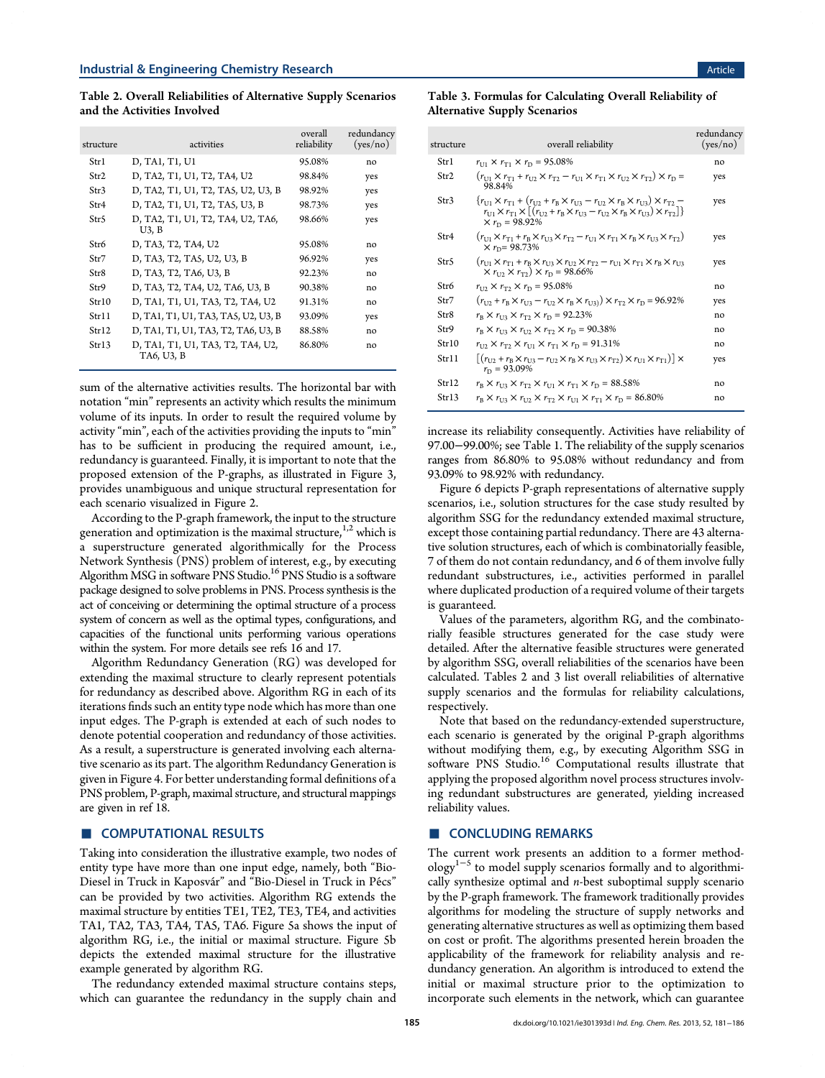Table 2. Overall Reliabilities of Alternative Supply Scenarios and the Activities Involved

| structure | activities                                      | overall<br>reliability | redundancy<br>(yes/no) |
|-----------|-------------------------------------------------|------------------------|------------------------|
| Str1      | D, TA1, T1, U1                                  | 95.08%                 | no                     |
| Str2      | D, TA2, T1, U1, T2, TA4, U2                     | 98.84%                 | yes                    |
| Str3      | D, TA2, T1, U1, T2, TA5, U2, U3, B              | 98.92%                 | yes                    |
| Str4      | D, TA2, T1, U1, T2, TA5, U3, B                  | 98.73%                 | yes                    |
| Str5      | D, TA2, T1, U1, T2, TA4, U2, TA6,<br>U3, B      | 98.66%                 | yes                    |
| Str6      | D, TA3, T2, TA4, U2                             | 95.08%                 | no                     |
| Str7      | D, TA3, T2, TA5, U2, U3, B                      | 96.92%                 | yes                    |
| Str8      | D, TA3, T2, TA6, U3, B                          | 92.23%                 | no                     |
| Str9      | D, TA3, T2, TA4, U2, TA6, U3, B                 | 90.38%                 | no                     |
| Str10     | D, TA1, T1, U1, TA3, T2, TA4, U2                | 91.31%                 | no                     |
| Str11     | D, TA1, T1, U1, TA3, TA5, U2, U3, B             | 93.09%                 | yes                    |
| Str12     | D, TA1, T1, U1, TA3, T2, TA6, U3, B             | 88.58%                 | no                     |
| Str13     | D, TA1, T1, U1, TA3, T2, TA4, U2,<br>TA6, U3, B | 86.80%                 | no                     |

sum of the alternative activities results. The horizontal bar with notation "min" represents an activity which results the minimum volume of its inputs. In order to result the required volume by activity "min", each of the activities providing the inputs to "min" has to be sufficient in producing the required amount, i.e., redundancy is guaranteed. Finally, it is important to note that the proposed extension of the P-graphs, as illustrated in Figure 3, provides unambiguous and unique structural representation for each scenario visualized in Figure 2.

According to the P-graph framework, the input to the structu[re](#page-1-0) generation and optimization is the [m](#page-1-0)aximal structure,  $1,2$  which is a superstructure generated algorithmically for the Process Network Synthesis (PNS) problem of interest, e.g., b[y e](#page-5-0)xecuting Algorithm MSG in software PNS Studio.16 PNS Studio is a software package designed to solve problems in PNS. Process synthesis is the act of conceiving or determining the op[tim](#page-5-0)al structure of a process system of concern as well as the optimal types, configurations, and capacities of the functional units performing various operations within the system. For more details see refs 16 and 17.

Algorithm Redundancy Generation (RG) was developed for extending the maximal structure to clearl[y re](#page-5-0)pre[sen](#page-5-0)t potentials for redundancy as described above. Algorithm RG in each of its iterations finds such an entity type node which has more than one input edges. The P-graph is extended at each of such nodes to denote potential cooperation and redundancy of those activities. As a result, a superstructure is generated involving each alternative scenario as its part. The algorithm Redundancy Generation is given in Figure 4. For better understanding formal definitions of a PNS problem, P-graph, maximal structure, and structural mappings are given in ref [1](#page-2-0)8.

#### **EXECUTE COMPUT[AT](#page-5-0)IONAL RESULTS**

Taking into consideration the illustrative example, two nodes of entity type have more than one input edge, namely, both "Bio-Diesel in Truck in Kaposvár" and "Bio-Diesel in Truck in Pécs" can be provided by two activities. Algorithm RG extends the maximal structure by entities TE1, TE2, TE3, TE4, and activities TA1, TA2, TA3, TA4, TA5, TA6. Figure 5a shows the input of algorithm RG, i.e., the initial or maximal structure. Figure 5b depicts the extended maximal structur[e](#page-2-0) for the illustrative example generated by algorithm RG.

The redundancy extended maximal structure contains ste[ps](#page-2-0), which can guarantee the redundancy in the supply chain and

#### Table 3. Formulas for Calculating Overall Reliability of Alternative Supply Scenarios

| structure | overall reliability                                                                                                                                                                                                                                                                                                                                                                                                       | redundancy<br>(yes/no) |
|-----------|---------------------------------------------------------------------------------------------------------------------------------------------------------------------------------------------------------------------------------------------------------------------------------------------------------------------------------------------------------------------------------------------------------------------------|------------------------|
| Str1      | $r_{U1} \times r_{T1} \times r_D = 95.08\%$                                                                                                                                                                                                                                                                                                                                                                               | no                     |
| Str2      | $(r_{\text{II}} \times r_{\text{T1}} + r_{\text{II}} \times r_{\text{T2}} - r_{\text{II}} \times r_{\text{T1}} \times r_{\text{II}} \times r_{\text{T2}}) \times r_{\text{D}} =$<br>98.84%                                                                                                                                                                                                                                | yes                    |
| Str3      | $\{r_{\text{U1}} \times r_{\text{T1}} + (r_{\text{U2}} + r_{\text{B}} \times r_{\text{U3}} - r_{\text{U2}} \times r_{\text{B}} \times r_{\text{U3}}) \times r_{\text{T2}} -$<br>$r_{\text{U1}} \times r_{\text{T1}} \times \left[ \left( r_{\text{U2}} + r_{\text{B}} \times r_{\text{U3}} - r_{\text{U2}} \times r_{\text{B}} \times r_{\text{U3}} \right) \times r_{\text{T2}} \right]$<br>$\times r_{\rm D} = 98.92\%$ | yes                    |
| Str4      | $(r_{\text{U1}} \times r_{\text{T1}} + r_{\text{B}} \times r_{\text{U3}} \times r_{\text{T2}} - r_{\text{U1}} \times r_{\text{T1}} \times r_{\text{B}} \times r_{\text{U3}} \times r_{\text{T2}})$<br>$\times r_{\rm D} = 98.73\%$                                                                                                                                                                                        | yes                    |
| Str5      | $(r_{U1} \times r_{T1} + r_B \times r_{U3} \times r_{U2} \times r_{T2} - r_{U1} \times r_{T1} \times r_B \times r_{U3})$<br>$\times r_{12} \times r_{22}$ $\times r_{\text{D}} = 98.66\%$                                                                                                                                                                                                                                 | yes                    |
| Str6      | $r_{U2} \times r_{T2} \times r_D = 95.08\%$                                                                                                                                                                                                                                                                                                                                                                               | no                     |
| Str7      | $(r_{U2} + r_B \times r_{U3} - r_{U2} \times r_B \times r_{U3}) \times r_{T2} \times r_D = 96.92\%$                                                                                                                                                                                                                                                                                                                       | yes                    |
| Str8      | $r_{\rm B} \times r_{\rm U3} \times r_{\rm T2} \times r_{\rm D} = 92.23\%$                                                                                                                                                                                                                                                                                                                                                | no                     |
| Str9      | $r_{\rm B} \times r_{\rm U3} \times r_{\rm U2} \times r_{\rm T2} \times r_{\rm D} = 90.38\%$                                                                                                                                                                                                                                                                                                                              | no                     |
| Str10     | $r_{12} \times r_{\text{T2}} \times r_{11} \times r_{\text{T1}} \times r_{\text{D}} = 91.31\%$                                                                                                                                                                                                                                                                                                                            | no                     |
| Str11     | $[(r_{\rm U2} + r_{\rm B}\times r_{\rm U3} - r_{\rm U2}\times r_{\rm B}\times r_{\rm U3}\times r_{\rm T2})\times r_{\rm U1}\times r_{\rm T1})] \times$<br>$r_{\rm D} = 93.09\%$                                                                                                                                                                                                                                           | yes                    |
| Str12     | $r_{\rm B} \times r_{\rm U3} \times r_{\rm T2} \times r_{\rm U1} \times r_{\rm T1} \times r_{\rm D} = 88.58\%$                                                                                                                                                                                                                                                                                                            | no                     |
| Str13     | $r_{\rm B} \times r_{\rm U3} \times r_{\rm U2} \times r_{\rm T2} \times r_{\rm U1} \times r_{\rm T1} \times r_{\rm D} = 86.80\%$                                                                                                                                                                                                                                                                                          | no                     |

increase its reliability consequently. Activities have reliability of 97.00−99.00%; see Table 1. The reliability of the supply scenarios ranges from 86.80% to 95.08% without redundancy and from 93.09% to 98.92% with r[ed](#page-0-0)undancy.

Figure 6 depicts P-graph representations of alternative supply scenarios, i.e., solution structures for the case study resulted by algorith[m S](#page-3-0)SG for the redundancy extended maximal structure, except those containing partial redundancy. There are 43 alternative solution structures, each of which is combinatorially feasible, 7 of them do not contain redundancy, and 6 of them involve fully redundant substructures, i.e., activities performed in parallel where duplicated production of a required volume of their targets is guaranteed.

Values of the parameters, algorithm RG, and the combinatorially feasible structures generated for the case study were detailed. After the alternative feasible structures were generated by algorithm SSG, overall reliabilities of the scenarios have been calculated. Tables 2 and 3 list overall reliabilities of alternative supply scenarios and the formulas for reliability calculations, respectively.

Note that based on the redundancy-extended superstructure, each scenario is generated by the original P-graph algorithms without modifying them, e.g., by executing Algorithm SSG in software PNS Studio.<sup>16</sup> Computational results illustrate that applying the proposed algorithm novel process structures involving redundant substr[uct](#page-5-0)ures are generated, yielding increased reliability values.

#### ■ CONCLUDING REMARKS

The current work presents an addition to a former methodology1−<sup>5</sup> to model supply scenarios formally and to algorithmically synthesize optimal and  $n$ -best suboptimal supply scenario by th[e](#page-5-0) [P-](#page-5-0)graph framework. The framework traditionally provides algorithms for modeling the structure of supply networks and generating alternative structures as well as optimizing them based on cost or profit. The algorithms presented herein broaden the applicability of the framework for reliability analysis and redundancy generation. An algorithm is introduced to extend the initial or maximal structure prior to the optimization to incorporate such elements in the network, which can guarantee